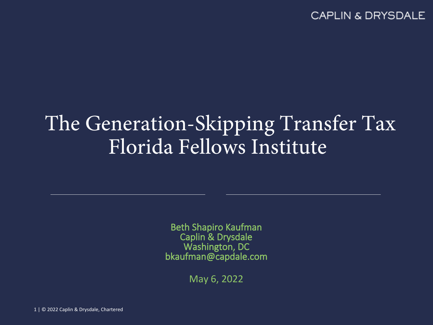### The Generation-Skipping Transfer Tax Florida Fellows Institute

**Beth Shapiro Kaufman Caplin & Drysdale Washington, DC bkaufman@capdale.com**

May 6, 2022

1 | © 2022 Caplin & Drysdale, Chartered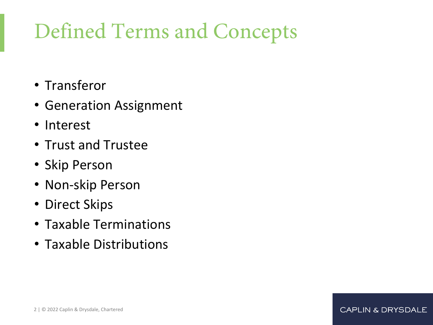# Defined Terms and Concepts

- Transferor
- Generation Assignment
- Interest
- Trust and Trustee
- Skip Person
- Non-skip Person
- Direct Skips
- Taxable Terminations
- Taxable Distributions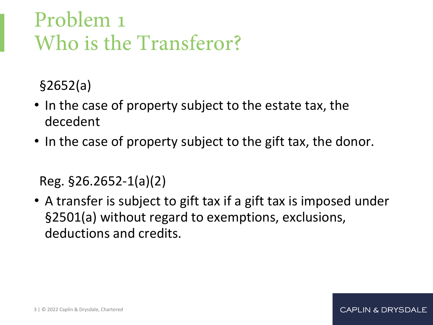# Problem 1 Who is the Transferor?

§2652(a)

- In the case of property subject to the estate tax, the decedent
- In the case of property subject to the gift tax, the donor.

Reg. §26.2652-1(a)(2)

• A transfer is subject to gift tax if a gift tax is imposed under §2501(a) without regard to exemptions, exclusions, deductions and credits.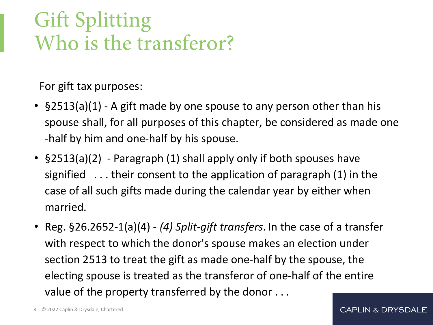# Gift Splitting Who is the transferor?

For gift tax purposes:

- §2513(a)(1) A gift made by one spouse to any person other than his spouse shall, for all purposes of this chapter, be considered as made one -half by him and one-half by his spouse.
- §2513(a)(2) Paragraph (1) shall apply only if both spouses have signified . . . their consent to the application of paragraph (1) in the case of all such gifts made during the calendar year by either when married.
- Reg. §26.2652-1(a)(4) *(4) Split-gift transfers.* In the case of a transfer with respect to which the donor's spouse makes an election under section 2513 to treat the gift as made one-half by the spouse, the electing spouse is treated as the transferor of one-half of the entire value of the property transferred by the donor . . .

4 | © 2022 Caplin & Drysdale, Chartered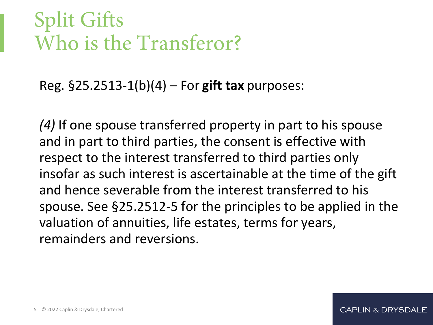## Split Gifts Who is the Transferor?

Reg. §25.2513-1(b)(4) – For **gift tax** purposes:

*(4)* If one spouse transferred property in part to his spouse and in part to third parties, the consent is effective with respect to the interest transferred to third parties only insofar as such interest is ascertainable at the time of the gift and hence severable from the interest transferred to his spouse. See §25.2512-5 for the principles to be applied in the valuation of annuities, life estates, terms for years, remainders and reversions.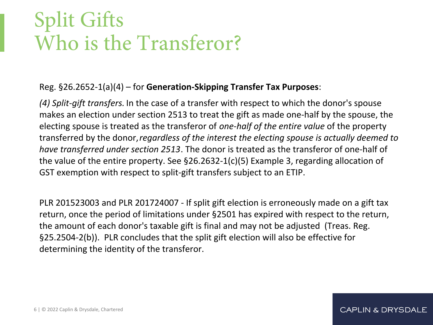## Split Gifts Who is the Transferor?

#### Reg. §26.2652-1(a)(4) – for **Generation-Skipping Transfer Tax Purposes**:

*(4) Split-gift transfers.* In the case of a transfer with respect to which the donor's spouse makes an election under section 2513 to treat the gift as made one-half by the spouse, the electing spouse is treated as the transferor of *one-half of the entire value* of the property transferred by the donor, *regardless of the interest the electing spouse is actually deemed to have transferred under section 2513*. The donor is treated as the transferor of one-half of the value of the entire property. See §26.2632-1(c)(5) Example 3, regarding allocation of GST exemption with respect to split-gift transfers subject to an ETIP.

PLR 201523003 and PLR 201724007 - If split gift election is erroneously made on a gift tax return, once the period of limitations under §2501 has expired with respect to the return, the amount of each donor's taxable gift is final and may not be adjusted (Treas. Reg. §25.2504-2(b)). PLR concludes that the split gift election will also be effective for determining the identity of the transferor.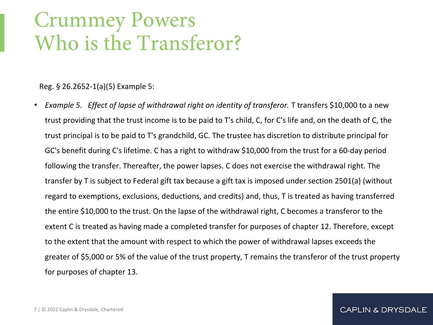### Crummey Powers Who is the Transferor?

Reg. § 26.2652-1(a)(5) Example 5:

• *Example 5. Effect of lapse of withdrawal right on identity of transferor.* T transfers \$10,000 to a new trust providing that the trust income is to be paid to T's child, C, for C's life and, on the death of C, the trust principal is to be paid to T's grandchild, GC. The trustee has discretion to distribute principal for GC's benefit during C's lifetime. C has a right to withdraw \$10,000 from the trust for a 60-day period following the transfer. Thereafter, the power lapses. C does not exercise the withdrawal right. The transfer by T is subject to Federal gift tax because a gift tax is imposed under section 2501(a) (without regard to exemptions, exclusions, deductions, and credits) and, thus, T is treated as having transferred the entire \$10,000 to the trust. On the lapse of the withdrawal right, C becomes a transferor to the extent C is treated as having made a completed transfer for purposes of chapter 12. Therefore, except to the extent that the amount with respect to which the power of withdrawal lapses exceeds the greater of \$5,000 or 5% of the value of the trust property, T remains the transferor of the trust property for purposes of chapter 13.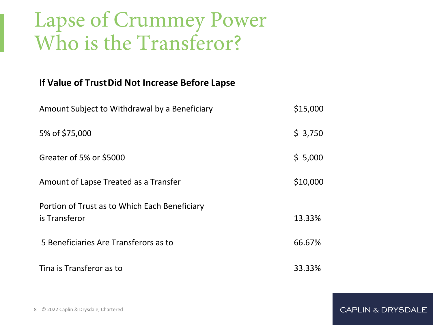#### Lapse of Crummey Power Who is the Transferor?

#### **If Value of Trust Did Not Increase Before Lapse**

| Amount Subject to Withdrawal by a Beneficiary                  | \$15,000 |
|----------------------------------------------------------------|----------|
| 5% of \$75,000                                                 | \$3,750  |
| Greater of 5% or \$5000                                        | \$5,000  |
| Amount of Lapse Treated as a Transfer                          | \$10,000 |
| Portion of Trust as to Which Each Beneficiary<br>is Transferor | 13.33%   |
| 5 Beneficiaries Are Transferors as to                          | 66.67%   |
| Tina is Transferor as to                                       | 33.33%   |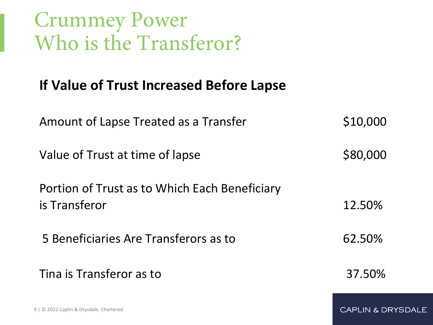Crummey Power Who is the Transferor?

#### **If Value of Trust Increased Before Lapse**

| Amount of Lapse Treated as a Transfer                          | \$10,000               |
|----------------------------------------------------------------|------------------------|
| Value of Trust at time of lapse                                | \$80,000               |
| Portion of Trust as to Which Each Beneficiary<br>is Transferor | 12.50%                 |
| 5 Beneficiaries Are Transferors as to                          | 62.50%                 |
| Tina is Transferor as to                                       | 37.50%                 |
| 9   © 2022 Caplin & Drysdale, Chartered                        | <b>CAPLIN &amp; DR</b> |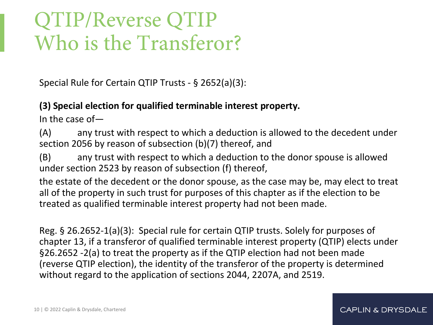## QTIP/Reverse QTIP Who is the Transferor?

Special Rule for Certain QTIP Trusts - § 2652(a)(3):

#### **(3) Special election for qualified terminable interest property.**

In the case of—

(A) any trust with respect to which a deduction is allowed to the decedent under section 2056 by reason of subsection (b)(7) thereof, and

(B) any trust with respect to which a deduction to the donor spouse is allowed under section 2523 by reason of subsection (f) thereof,

the estate of the decedent or the donor spouse, as the case may be, may elect to treat all of the property in such trust for purposes of this chapter as if the election to be treated as qualified terminable interest property had not been made.

Reg. § 26.2652-1(a)(3): Special rule for certain QTIP trusts. Solely for purposes of chapter 13, if a transferor of qualified terminable interest property (QTIP) elects under §26.2652 -2(a) to treat the property as if the QTIP election had not been made (reverse QTIP election), the identity of the transferor of the property is determined without regard to the application of sections 2044, 2207A, and 2519.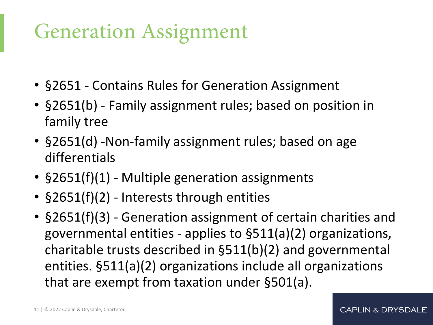## Generation Assignment

- §2651 Contains Rules for Generation Assignment
- §2651(b) Family assignment rules; based on position in family tree
- §2651(d) -Non-family assignment rules; based on age differentials
- §2651(f)(1) Multiple generation assignments
- §2651(f)(2) Interests through entities
- §2651(f)(3) Generation assignment of certain charities and governmental entities - applies to §511(a)(2) organizations, charitable trusts described in §511(b)(2) and governmental entities. §511(a)(2) organizations include all organizations that are exempt from taxation under §501(a).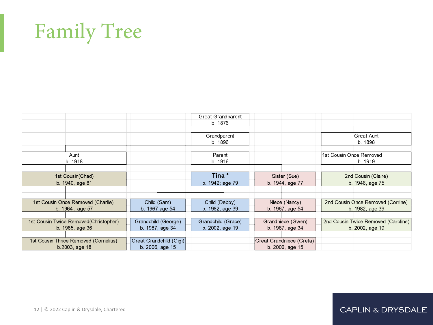# Family Tree

|                                        |                         | <b>Great Grandparent</b> |                          |                                     |
|----------------------------------------|-------------------------|--------------------------|--------------------------|-------------------------------------|
|                                        |                         | b. 1876                  |                          |                                     |
|                                        |                         |                          |                          |                                     |
|                                        |                         | Grandparent              |                          | <b>Great Aunt</b>                   |
|                                        |                         | b. 1896                  |                          | b. 1898                             |
|                                        |                         |                          |                          |                                     |
| Aunt                                   |                         | Parent                   |                          | 1st Cousin Once Removed             |
| b. 1918                                |                         | b. 1916                  |                          | b. 1919                             |
|                                        |                         |                          |                          |                                     |
| 1st Cousin(Chad)                       |                         | Tina*                    | Sister (Sue)             | 2nd Cousin (Claire)                 |
| b. 1940, age 81                        |                         | b. 1942; age 79          | b. 1944, age 77          | b. 1946, age 75                     |
|                                        |                         |                          |                          |                                     |
|                                        |                         |                          |                          |                                     |
| 1st Cousin Once Removed (Charlie)      | Child (Sam)             | Child (Debby)            | Niece (Nancy)            | 2nd Cousin Once Removed (Corrine)   |
| b. 1964, age 57                        | b. 1967 age 54          | b. 1982, age 39          | b. 1967, age 54          | b. 1982, age 39                     |
|                                        |                         |                          |                          |                                     |
| 1st Cousin Twice Removed (Christopher) | Grandchild (George)     | Grandchild (Grace)       | Grandniece (Gwen)        | 2nd Cousin Twice Removed (Caroline) |
| b. 1985, age 36                        | b. 1987, age 34         | b. 2002, age 19          | b. 1987, age 34          | b. 2002, age 19                     |
|                                        |                         |                          |                          |                                     |
| 1st Cousin Thrice Removed (Cornelius)  | Great Grandchild (Gigi) |                          | Great Grandniece (Greta) |                                     |
| b.2003, age 18                         | b. 2006, age 15         |                          | b. 2006, age 15          |                                     |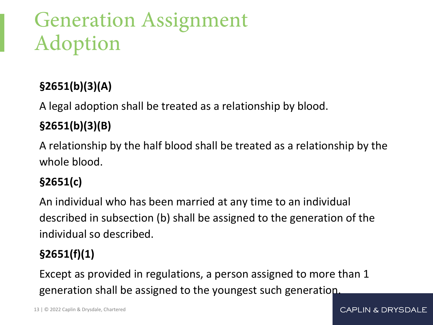# Generation Assignment Adoption

#### **§2651(b)(3)(A)**

A legal adoption shall be treated as a relationship by blood.

#### **§2651(b)(3)(B)**

A relationship by the half blood shall be treated as a relationship by the whole blood.

#### **§2651(c)**

An individual who has been married at any time to an individual described in subsection (b) shall be assigned to the generation of the individual so described.

#### **§2651(f)(1)**

Except as provided in regulations, a person assigned to more than 1 generation shall be assigned to the youngest such generation.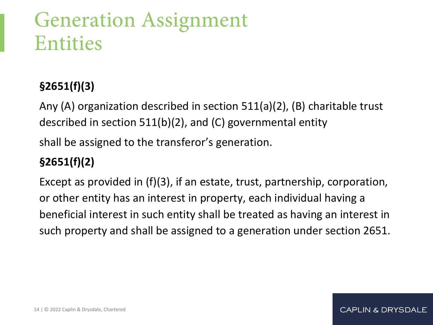## Generation Assignment Entities

#### **§2651(f)(3)**

Any (A) organization described in section 511(a)(2), (B) charitable trust described in section 511(b)(2), and (C) governmental entity

shall be assigned to the transferor's generation.

#### **§2651(f)(2)**

Except as provided in (f)(3), if an estate, trust, partnership, corporation, or other entity has an interest in property, each individual having a beneficial interest in such entity shall be treated as having an interest in such property and shall be assigned to a generation under section 2651.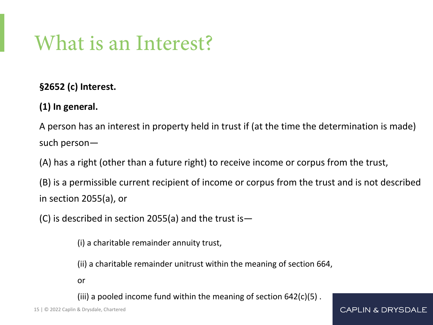## What is an Interest?

**§2652 (c) Interest.**

**(1) In general.**

A person has an interest in property held in trust if (at the time the determination is made) such person—

(A) has a right (other than a future right) to receive income or corpus from the trust,

(B) is a permissible current recipient of income or corpus from the trust and is not described in section 2055(a), or

(C) is described in section 2055(a) and the trust is  $-$ 

(i) a charitable remainder annuity trust,

(ii) a charitable remainder unitrust within the meaning of section 664,

or

(iii) a pooled income fund within the meaning of section  $642(c)(5)$ .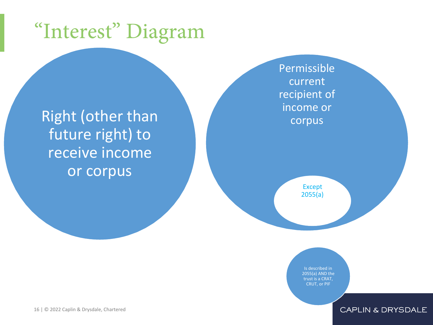# "Interest" Diagram

Right (other than future right) to receive income or corpus

Permissible current recipient of income or corpus

> Except 2055(a)

Is described in 2055(a) AND the trust is a CRAT, CRUT, or PIF

16 | © 2022 Caplin & Drysdale, Chartered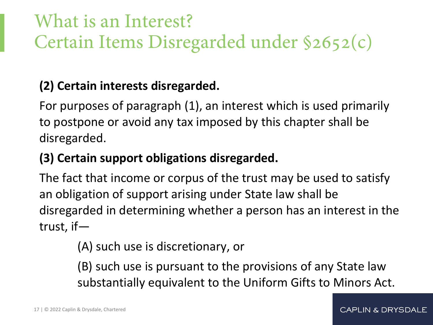#### What is an Interest? Certain Items Disregarded under §2652(c)

#### **(2) Certain interests disregarded.**

For purposes of paragraph (1), an interest which is used primarily to postpone or avoid any tax imposed by this chapter shall be disregarded.

#### **(3) Certain support obligations disregarded.**

The fact that income or corpus of the trust may be used to satisfy an obligation of support arising under State law shall be disregarded in determining whether a person has an interest in the trust, if—

(A) such use is discretionary, or

(B) such use is pursuant to the provisions of any State law substantially equivalent to the Uniform Gifts to Minors Act.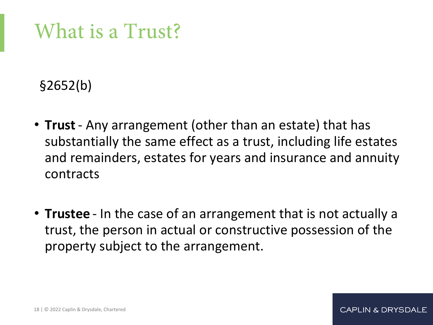## What is a Trust?

§2652(b)

- **Trust** Any arrangement (other than an estate) that has substantially the same effect as a trust, including life estates and remainders, estates for years and insurance and annuity contracts
- **Trustee** In the case of an arrangement that is not actually a trust, the person in actual or constructive possession of the property subject to the arrangement.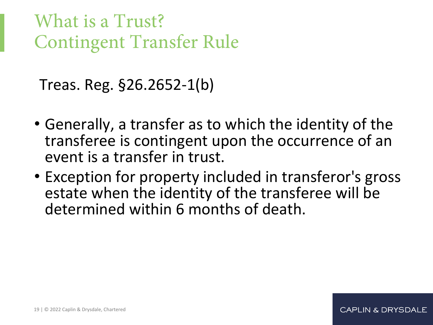What is a Trust? Contingent Transfer Rule

Treas. Reg. §26.2652-1(b)

- Generally, a transfer as to which the identity of the transferee is contingent upon the occurrence of an event is a transfer in trust.
- Exception for property included in transferor's gross estate when the identity of the transferee will be determined within 6 months of death.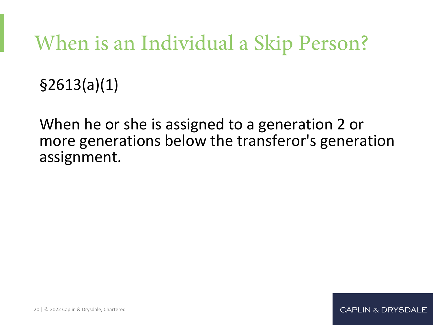# When is an Individual a Skip Person?

§2613(a)(1)

When he or she is assigned to a generation 2 or more generations below the transferor's generation assignment.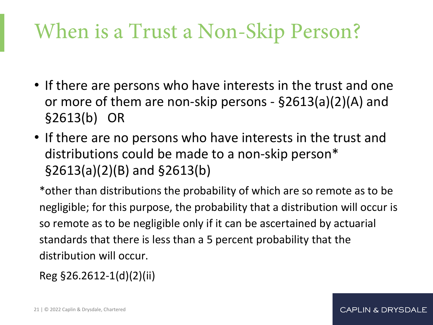# When is a Trust a Non-Skip Person?

- If there are persons who have interests in the trust and one or more of them are non-skip persons - §2613(a)(2)(A) and §2613(b) OR
- If there are no persons who have interests in the trust and distributions could be made to a non-skip person\* §2613(a)(2)(B) and §2613(b)

\*other than distributions the probability of which are so remote as to be negligible; for this purpose, the probability that a distribution will occur is so remote as to be negligible only if it can be ascertained by actuarial standards that there is less than a 5 percent probability that the distribution will occur.

Reg §26.2612-1(d)(2)(ii)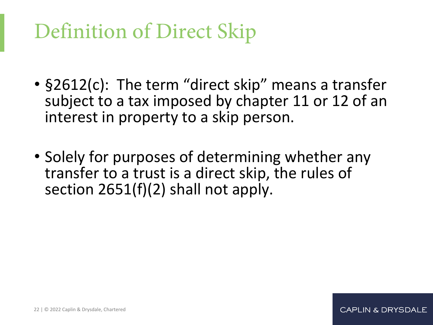# Definition of Direct Skip

- §2612(c): The term "direct skip" means a transfer subject to a tax imposed by chapter 11 or 12 of an interest in property to a skip person.
- Solely for purposes of determining whether any transfer to a trust is a direct skip, the rules of section 2651(f)(2) shall not apply.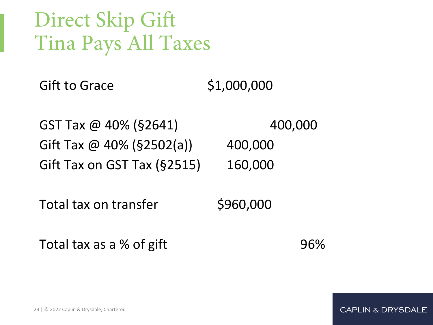## Direct Skip Gift Tina Pays All Taxes

Gift to Grace \$1,000,000

 $GST$  Tax  $@$  40% (§2641)  $400,000$ Gift Tax  $@$  40% (§2502(a)) 400,000 Gift Tax on GST Tax (§2515) 160,000

Total tax on transfer \$960,000

Total tax as a % of gift **1968** 1968

23 | © 2022 Caplin & Drysdale, Chartered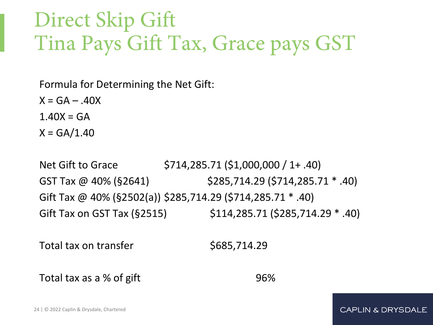## Direct Skip Gift Tina Pays Gift Tax, Grace pays GST

Formula for Determining the Net Gift:

 $X = GA - .40X$ 

 $1.40X = GA$ 

 $X = GA/1.40$ 

Net Gift to Grace \$714,285.71 (\$1,000,000 / 1+ .40) GST Tax @ 40% (§2641) \$285,714.29 (\$714,285.71 \* .40) Gift Tax @ 40% (§2502(a)) \$285,714.29 (\$714,285.71 \* .40) Gift Tax on GST Tax (§2515) \$114,285.71 (\$285,714.29 \* .40)

Total tax on transfer **\$685,714.29** 

Total tax as a % of gift 96%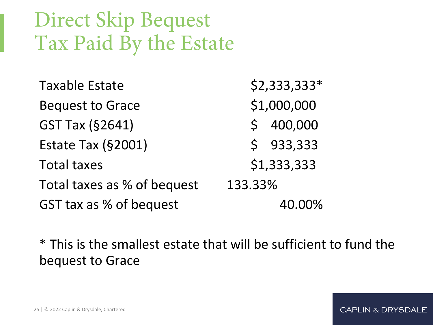# Direct Skip Bequest Tax Paid By the Estate

| <b>Taxable Estate</b>       | \$2,333,333*            |
|-----------------------------|-------------------------|
| <b>Bequest to Grace</b>     | \$1,000,000             |
| <b>GST Tax (§2641)</b>      | 400,000<br>$\mathsf{S}$ |
| Estate Tax (§2001)          | \$933,333               |
| <b>Total taxes</b>          | \$1,333,333             |
| Total taxes as % of bequest | 133.33%                 |
| GST tax as % of bequest     | 40.00%                  |

\* This is the smallest estate that will be sufficient to fund the bequest to Grace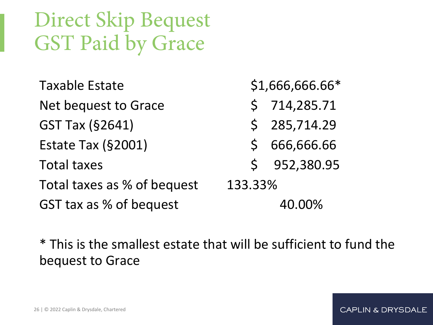# Direct Skip Bequest GST Paid by Grace

| <b>Taxable Estate</b>       | \$1,666,666.66*            |
|-----------------------------|----------------------------|
| Net bequest to Grace        | 714,285.71<br>$\mathsf{S}$ |
| <b>GST Tax (§2641)</b>      | \$285,714.29               |
| Estate Tax (§2001)          | 666,666.66<br>$\mathsf{S}$ |
| <b>Total taxes</b>          | \$952,380.95               |
| Total taxes as % of bequest | 133.33%                    |
| GST tax as % of bequest     | 40.00%                     |

\* This is the smallest estate that will be sufficient to fund the bequest to Grace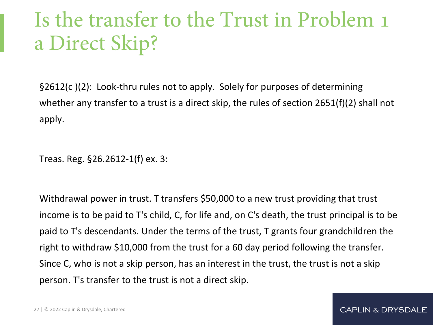# Is the transfer to the Trust in Problem 1 a Direct Skip?

§2612(c )(2): Look-thru rules not to apply. Solely for purposes of determining whether any transfer to a trust is a direct skip, the rules of section 2651(f)(2) shall not apply.

Treas. Reg. §26.2612-1(f) ex. 3:

Withdrawal power in trust. T transfers \$50,000 to a new trust providing that trust income is to be paid to T's child, C, for life and, on C's death, the trust principal is to be paid to T's descendants. Under the terms of the trust, T grants four grandchildren the right to withdraw \$10,000 from the trust for a 60 day period following the transfer. Since C, who is not a skip person, has an interest in the trust, the trust is not a skip person. T's transfer to the trust is not a direct skip.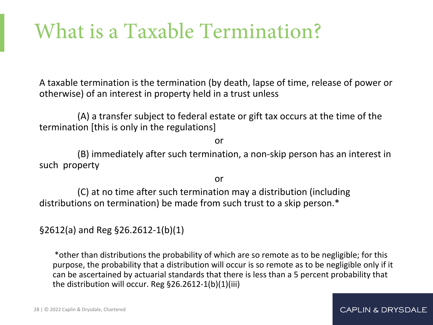# What is a Taxable Termination?

A taxable termination is the termination (by death, lapse of time, release of power or otherwise) of an interest in property held in a trust unless

(A) a transfer subject to federal estate or gift tax occurs at the time of the termination [this is only in the regulations]

or

(B) immediately after such termination, a non-skip person has an interest in such property

or

(C) at no time after such termination may a distribution (including distributions on termination) be made from such trust to a skip person.\*

§2612(a) and Reg §26.2612-1(b)(1)

\*other than distributions the probability of which are so remote as to be negligible; for this purpose, the probability that a distribution will occur is so remote as to be negligible only if it can be ascertained by actuarial standards that there is less than a 5 percent probability that the distribution will occur. Reg §26.2612-1(b)(1)(iii)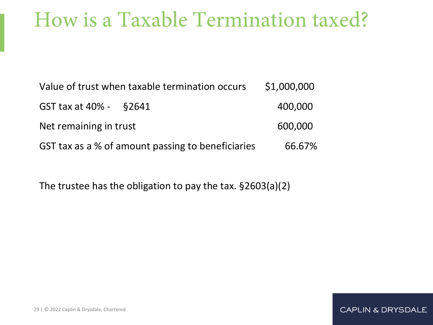#### How is a Taxable Termination taxed?

| Value of trust when taxable termination occurs    | \$1,000,000 |
|---------------------------------------------------|-------------|
| GST tax at 40% - §2641                            | 400,000     |
| Net remaining in trust                            | 600,000     |
| GST tax as a % of amount passing to beneficiaries | 66.67%      |

The trustee has the obligation to pay the tax. §2603(a)(2)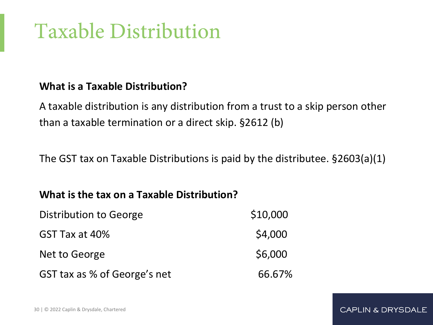# Taxable Distribution

#### **What is a Taxable Distribution?**

A taxable distribution is any distribution from a trust to a skip person other than a taxable termination or a direct skip. §2612 (b)

The GST tax on Taxable Distributions is paid by the distributee. §2603(a)(1)

**CAPLIN & DRYSDALE** 

#### **What is the tax on a Taxable Distribution?**

| Distribution to George       | \$10,000 |
|------------------------------|----------|
| GST Tax at 40%               | \$4,000  |
| Net to George                | \$6,000  |
| GST tax as % of George's net | 66.67%   |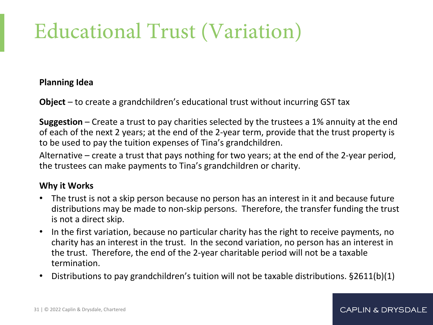# Educational Trust (Variation)

#### **Planning Idea**

**Object** – to create a grandchildren's educational trust without incurring GST tax

**Suggestion** – Create a trust to pay charities selected by the trustees a 1% annuity at the end of each of the next 2 years; at the end of the 2-year term, provide that the trust property is to be used to pay the tuition expenses of Tina's grandchildren.

Alternative – create a trust that pays nothing for two years; at the end of the 2-year period, the trustees can make payments to Tina's grandchildren or charity.

#### **Why it Works**

- The trust is not a skip person because no person has an interest in it and because future distributions may be made to non-skip persons. Therefore, the transfer funding the trust is not a direct skip.
- In the first variation, because no particular charity has the right to receive payments, no charity has an interest in the trust. In the second variation, no person has an interest in the trust. Therefore, the end of the 2-year charitable period will not be a taxable termination.
- Distributions to pay grandchildren's tuition will not be taxable distributions. §2611(b)(1)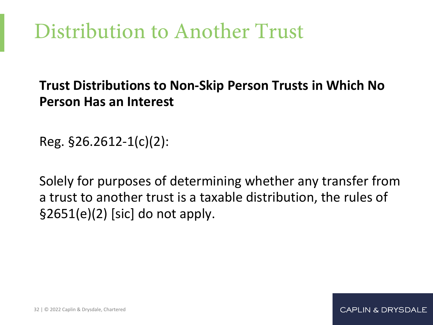# Distribution to Another Trust

#### **Trust Distributions to Non-Skip Person Trusts in Which No Person Has an Interest**

Reg. §26.2612-1(c)(2):

Solely for purposes of determining whether any transfer from a trust to another trust is a taxable distribution, the rules of  $$2651(e)(2)$  [sic] do not apply.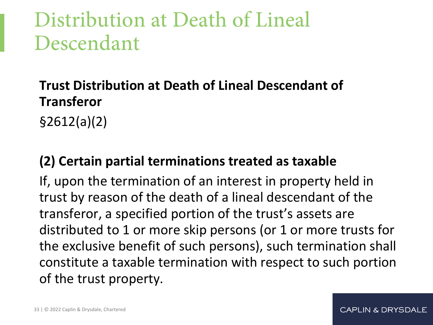## Distribution at Death of Lineal Descendant

#### **Trust Distribution at Death of Lineal Descendant of Transferor**

§2612(a)(2)

#### **(2) Certain partial terminations treated as taxable**

If, upon the termination of an interest in property held in trust by reason of the death of a lineal descendant of the transferor, a specified portion of the trust's assets are distributed to 1 or more skip persons (or 1 or more trusts for the exclusive benefit of such persons), such termination shall constitute a taxable termination with respect to such portion of the trust property.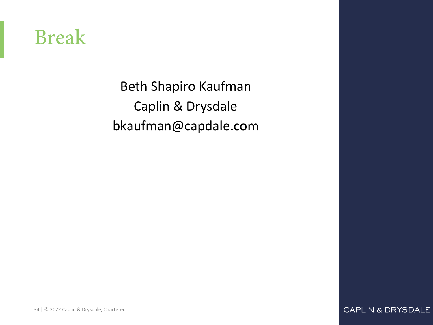#### Break

Beth Shapiro Kaufman Caplin & Drysdale bkaufman@capdale.com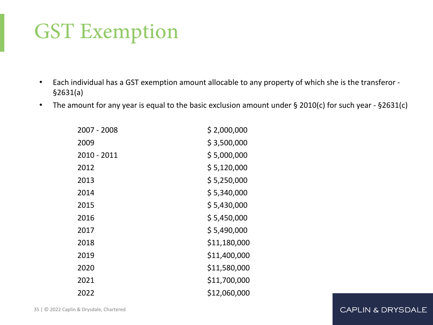# GST Exemption

- Each individual has a GST exemption amount allocable to any property of which she is the transferor §2631(a)
- The amount for any year is equal to the basic exclusion amount under § 2010(c) for such year §2631(c)

| 2007 - 2008 | \$2,000,000  |
|-------------|--------------|
| 2009        | \$3,500,000  |
| 2010 - 2011 | \$5,000,000  |
| 2012        | \$5,120,000  |
| 2013        | \$5,250,000  |
| 2014        | \$5,340,000  |
| 2015        | \$5,430,000  |
| 2016        | \$5,450,000  |
| 2017        | \$5,490,000  |
| 2018        | \$11,180,000 |
| 2019        | \$11,400,000 |
| 2020        | \$11,580,000 |
| 2021        | \$11,700,000 |
| 2022        | \$12,060,000 |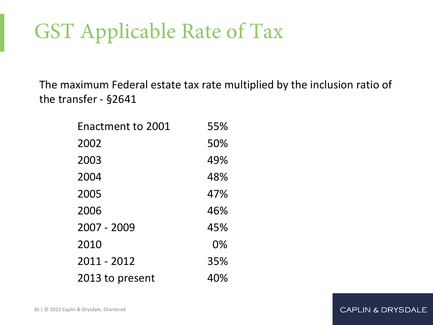# GST Applicable Rate of Tax

The maximum Federal estate tax rate multiplied by the inclusion ratio of the transfer - §2641

| Enactment to 2001 | 55% |
|-------------------|-----|
| 2002              | 50% |
| 2003              | 49% |
| 2004              | 48% |
| 2005              | 47% |
| 2006              | 46% |
| 2007 - 2009       | 45% |
| 2010              | 0%  |
| 2011 - 2012       | 35% |
| 2013 to present   | 40% |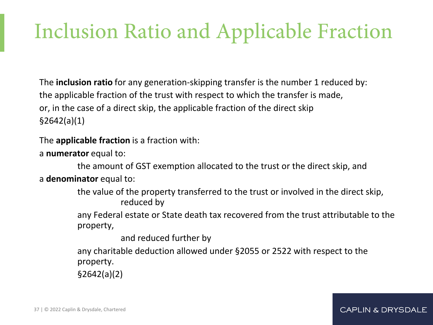# Inclusion Ratio and Applicable Fraction

The **inclusion ratio** for any generation-skipping transfer is the number 1 reduced by: the applicable fraction of the trust with respect to which the transfer is made, or, in the case of a direct skip, the applicable fraction of the direct skip §2642(a)(1)

The **applicable fraction** is a fraction with:

a **numerator** equal to:

the amount of GST exemption allocated to the trust or the direct skip, and a **denominator** equal to:

> the value of the property transferred to the trust or involved in the direct skip, reduced by

 any Federal estate or State death tax recovered from the trust attributable to the property,

**CAPLIN & DRYSDALE** 

and reduced further by

any charitable deduction allowed under §2055 or 2522 with respect to the property.

§2642(a)(2)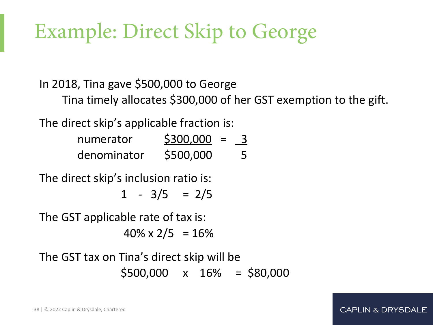# Example: Direct Skip to George

In 2018, Tina gave \$500,000 to George

Tina timely allocates \$300,000 of her GST exemption to the gift.

**CAPLIN & DRYSDALE** 

The direct skip's applicable fraction is:

| numerator   | \$300,000<br>$\equiv$ |   |
|-------------|-----------------------|---|
| denominator | \$500,000             | 5 |

The direct skip's inclusion ratio is:

 $1 - 3/5 = 2/5$ 

The GST applicable rate of tax is:

 $40\% \times 2/5 = 16\%$ 

The GST tax on Tina's direct skip will be  $$500,000 \times 16\% = $80,000$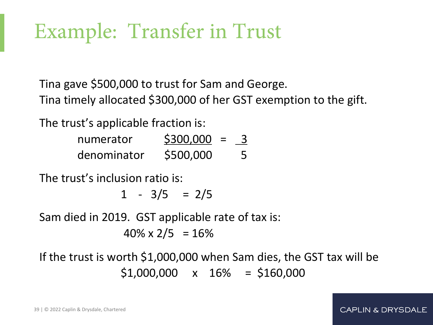# Example: Transfer in Trust

Tina gave \$500,000 to trust for Sam and George. Tina timely allocated \$300,000 of her GST exemption to the gift.

The trust's applicable fraction is:

| numerator   | \$300,000 | 3 |
|-------------|-----------|---|
| denominator | \$500,000 | 5 |

The trust's inclusion ratio is:

 $1 - 3/5 = 2/5$ 

Sam died in 2019. GST applicable rate of tax is:

 $40\% \times 2/5 = 16\%$ 

If the trust is worth \$1,000,000 when Sam dies, the GST tax will be  $$1,000,000 \times 16\% = $160,000$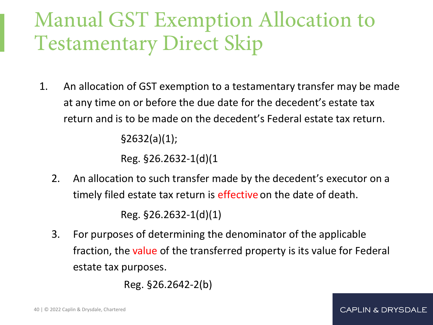## Manual GST Exemption Allocation to Testamentary Direct Skip

1. An allocation of GST exemption to a testamentary transfer may be made at any time on or before the due date for the decedent's estate tax return and is to be made on the decedent's Federal estate tax return. §2632(a)(1);

Reg. §26.2632-1(d)(1

2. An allocation to such transfer made by the decedent's executor on a timely filed estate tax return is effective on the date of death.

Reg. §26.2632-1(d)(1)

3. For purposes of determining the denominator of the applicable fraction, the value of the transferred property is its value for Federal estate tax purposes.

Reg. §26.2642-2(b)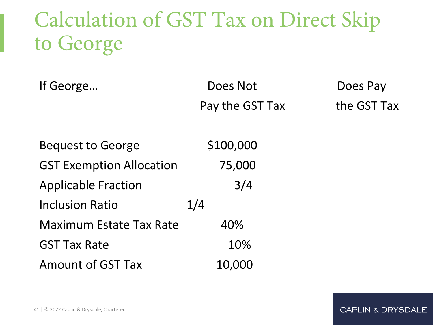## Calculation of GST Tax on Direct Skip to George

| If George | Does Not        | Does Pay    |
|-----------|-----------------|-------------|
|           | Pay the GST Tax | the GST Tax |

| <b>Bequest to George</b>        | \$100,000 |
|---------------------------------|-----------|
| <b>GST Exemption Allocation</b> | 75,000    |
| <b>Applicable Fraction</b>      | 3/4       |
| <b>Inclusion Ratio</b>          | 1/4       |
| <b>Maximum Estate Tax Rate</b>  | 40%       |
| <b>GST Tax Rate</b>             | 10%       |
| <b>Amount of GST Tax</b>        | 10,000    |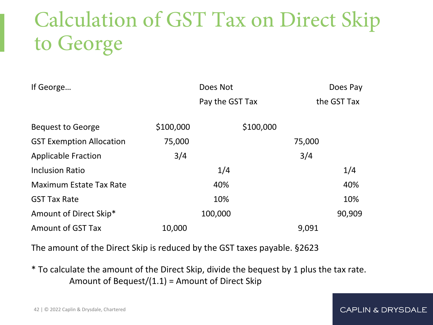# Calculation of GST Tax on Direct Skip to George

| If George                       |           | Does Not        |           |        | Does Pay    |
|---------------------------------|-----------|-----------------|-----------|--------|-------------|
|                                 |           | Pay the GST Tax |           |        | the GST Tax |
| <b>Bequest to George</b>        | \$100,000 |                 | \$100,000 |        |             |
| <b>GST Exemption Allocation</b> | 75,000    |                 |           | 75,000 |             |
| <b>Applicable Fraction</b>      | 3/4       |                 |           | 3/4    |             |
| <b>Inclusion Ratio</b>          |           | 1/4             |           |        | 1/4         |
| <b>Maximum Estate Tax Rate</b>  |           | 40%             |           |        | 40%         |
| <b>GST Tax Rate</b>             |           | 10%             |           |        | 10%         |
| Amount of Direct Skip*          |           | 100,000         |           |        | 90,909      |
| <b>Amount of GST Tax</b>        | 10,000    |                 |           | 9,091  |             |

The amount of the Direct Skip is reduced by the GST taxes payable. §2623

\* To calculate the amount of the Direct Skip, divide the bequest by 1 plus the tax rate. Amount of Bequest/(1.1) = Amount of Direct Skip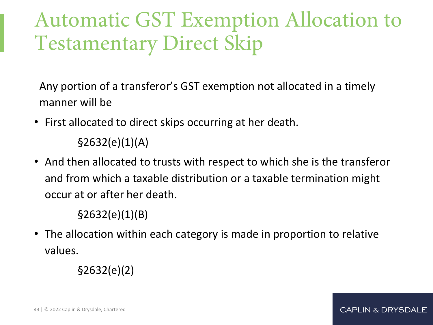## Automatic GST Exemption Allocation to Testamentary Direct Skip

Any portion of a transferor's GST exemption not allocated in a timely manner will be

• First allocated to direct skips occurring at her death.

 $$2632(e)(1)(A)$ 

• And then allocated to trusts with respect to which she is the transferor and from which a taxable distribution or a taxable termination might occur at or after her death.

§2632(e)(1)(B)

• The allocation within each category is made in proportion to relative values.

§2632(e)(2)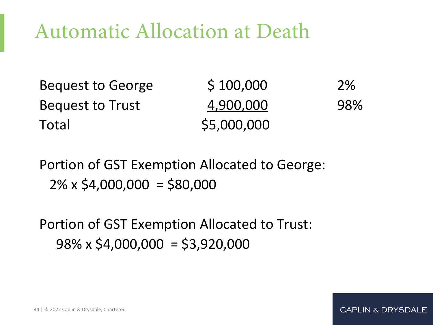### Automatic Allocation at Death

| <b>Bequest to George</b> | \$100,000   | <b>2%</b> |
|--------------------------|-------------|-----------|
| <b>Bequest to Trust</b>  | 4,900,000   | 98%       |
| Total                    | \$5,000,000 |           |

**CAPLIN & DRYSDALE** 

Portion of GST Exemption Allocated to George:  $2\% \times $4,000,000 = $80,000$ 

Portion of GST Exemption Allocated to Trust:  $98\% \times $4,000,000 = $3,920,000$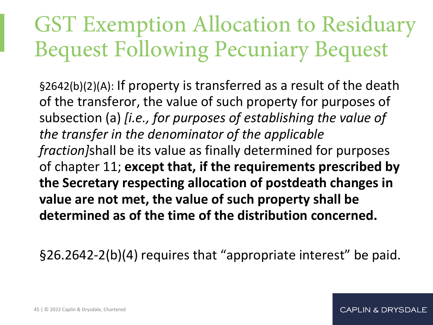# GST Exemption Allocation to Residuary Bequest Following Pecuniary Bequest

§2642(b)(2)(A): If property is transferred as a result of the death of the transferor, the value of such property for purposes of subsection (a) *[i.e., for purposes of establishing the value of the transfer in the denominator of the applicable fraction]*shall be its value as finally determined for purposes of chapter 11; **except that, if the requirements prescribed by the Secretary respecting allocation of postdeath changes in value are not met, the value of such property shall be determined as of the time of the distribution concerned.**

§26.2642-2(b)(4) requires that "appropriate interest" be paid.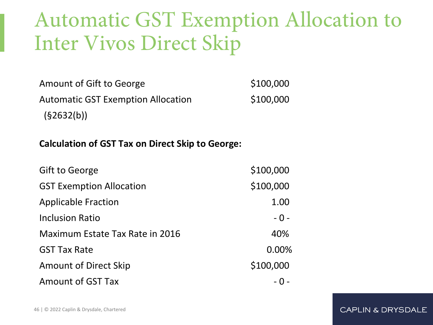### Automatic GST Exemption Allocation to Inter Vivos Direct Skip

Amount of Gift to George \$100,000 Automatic GST Exemption Allocation  $$100,000$  $(§2632(b))$ 

#### **Calculation of GST Tax on Direct Skip to George:**

| <b>Gift to George</b>                  | \$100,000 |
|----------------------------------------|-----------|
| <b>GST Exemption Allocation</b>        | \$100,000 |
| <b>Applicable Fraction</b>             | 1.00      |
| <b>Inclusion Ratio</b>                 | $-0-$     |
| <b>Maximum Estate Tax Rate in 2016</b> | 40%       |
| <b>GST Tax Rate</b>                    | 0.00%     |
| <b>Amount of Direct Skip</b>           | \$100,000 |
| <b>Amount of GST Tax</b>               |           |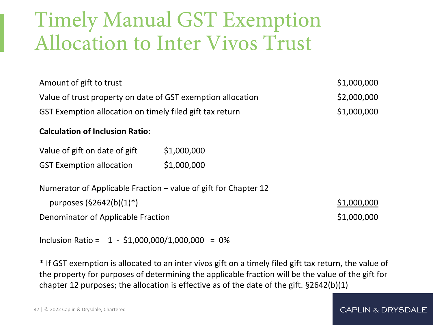### Timely Manual GST Exemption Allocation to Inter Vivos Trust

| Amount of gift to trust                                                                                 |             | \$1,000,000 |
|---------------------------------------------------------------------------------------------------------|-------------|-------------|
| Value of trust property on date of GST exemption allocation                                             |             | \$2,000,000 |
| GST Exemption allocation on timely filed gift tax return                                                |             | \$1,000,000 |
| <b>Calculation of Inclusion Ratio:</b>                                                                  |             |             |
| Value of gift on date of gift                                                                           | \$1,000,000 |             |
| <b>GST Exemption allocation</b>                                                                         | \$1,000,000 |             |
| Numerator of Applicable Fraction – value of gift for Chapter 12<br>purposes $(\frac{52642(b)(1)^*}{2})$ |             | \$1,000,000 |
| Denominator of Applicable Fraction                                                                      |             | \$1,000,000 |

Inclusion Ratio =  $1 - $1,000,000/1,000,000 = 0%$ 

\* If GST exemption is allocated to an inter vivos gift on a timely filed gift tax return, the value of the property for purposes of determining the applicable fraction will be the value of the gift for chapter 12 purposes; the allocation is effective as of the date of the gift. §2642(b)(1)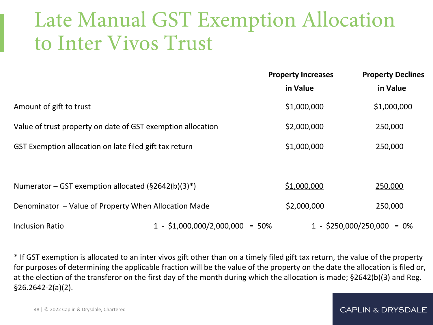### Late Manual GST Exemption Allocation to Inter Vivos Trust

|                                                             |  | <b>Property Increases</b> | <b>Property Declines</b>     |  |
|-------------------------------------------------------------|--|---------------------------|------------------------------|--|
|                                                             |  | in Value                  | in Value                     |  |
| Amount of gift to trust                                     |  | \$1,000,000               | \$1,000,000                  |  |
| Value of trust property on date of GST exemption allocation |  | \$2,000,000               | 250,000                      |  |
| GST Exemption allocation on late filed gift tax return      |  | \$1,000,000               | 250,000                      |  |
|                                                             |  |                           |                              |  |
| Numerator – GST exemption allocated ( $\S$ 2642(b)(3)*)     |  | \$1,000,000               | 250,000                      |  |
| Denominator - Value of Property When Allocation Made        |  | \$2,000,000               | 250,000                      |  |
| $1 - $1,000,000/2,000,000 = 50%$<br><b>Inclusion Ratio</b>  |  |                           | $1 - $250,000/250,000 = 0\%$ |  |

\* If GST exemption is allocated to an inter vivos gift other than on a timely filed gift tax return, the value of the property for purposes of determining the applicable fraction will be the value of the property on the date the allocation is filed or, at the election of the transferor on the first day of the month during which the allocation is made; §2642(b)(3) and Reg. §26.2642-2(a)(2).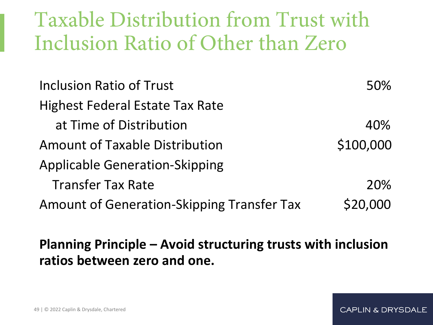### Taxable Distribution from Trust with Inclusion Ratio of Other than Zero

| Inclusion Ratio of Trust                          | 50%        |
|---------------------------------------------------|------------|
| <b>Highest Federal Estate Tax Rate</b>            |            |
| at Time of Distribution                           | 40%        |
| <b>Amount of Taxable Distribution</b>             | \$100,000  |
| <b>Applicable Generation-Skipping</b>             |            |
| <b>Transfer Tax Rate</b>                          | <b>20%</b> |
| <b>Amount of Generation-Skipping Transfer Tax</b> | \$20,000   |

### **Planning Principle – Avoid structuring trusts with inclusion ratios between zero and one.**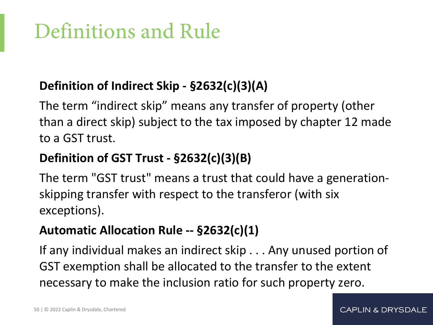# Definitions and Rule

### **Definition of Indirect Skip - §2632(c)(3)(A)**

The term "indirect skip" means any transfer of property (other than a direct skip) subject to the tax imposed by chapter 12 made to a GST trust.

### **Definition of GST Trust - §2632(c)(3)(B)**

The term "GST trust" means a trust that could have a generationskipping transfer with respect to the transferor (with six exceptions).

### **Automatic Allocation Rule -- §2632(c)(1)**

If any individual makes an indirect skip . . . Any unused portion of GST exemption shall be allocated to the transfer to the extent necessary to make the inclusion ratio for such property zero.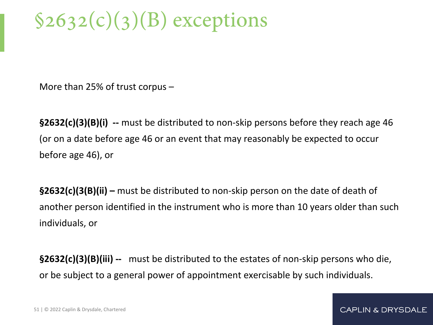# $$2632(c)(3)(B)$  exceptions

More than 25% of trust corpus –

**§2632(c)(3)(B)(i) --** must be distributed to non-skip persons before they reach age 46 (or on a date before age 46 or an event that may reasonably be expected to occur before age 46), or

**§2632(c)(3(B)(ii) –** must be distributed to non-skip person on the date of death of another person identified in the instrument who is more than 10 years older than such individuals, or

**§2632(c)(3)(B)(iii) --** must be distributed to the estates of non-skip persons who die, or be subject to a general power of appointment exercisable by such individuals.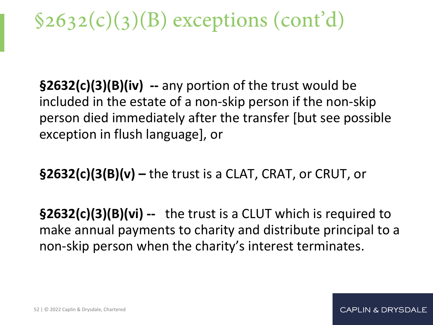# $$2632(c)(3)(B)$  exceptions (cont'd)

**§2632(c)(3)(B)(iv) --** any portion of the trust would be included in the estate of a non-skip person if the non-skip person died immediately after the transfer [but see possible exception in flush language], or

**§2632(c)(3(B)(v) –** the trust is a CLAT, CRAT, or CRUT, or

**§2632(c)(3)(B)(vi) --** the trust is a CLUT which is required to make annual payments to charity and distribute principal to a non-skip person when the charity's interest terminates.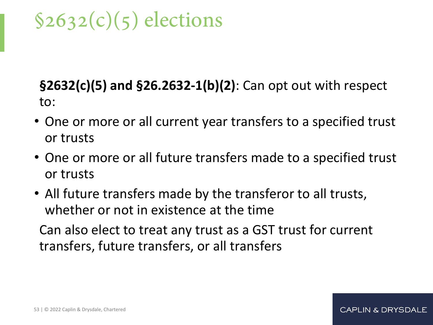## $$2632(c)(5)$  elections

### **§2632(c)(5) and §26.2632-1(b)(2)**: Can opt out with respect to:

- One or more or all current year transfers to a specified trust or trusts
- One or more or all future transfers made to a specified trust or trusts
- All future transfers made by the transferor to all trusts, whether or not in existence at the time

Can also elect to treat any trust as a GST trust for current transfers, future transfers, or all transfers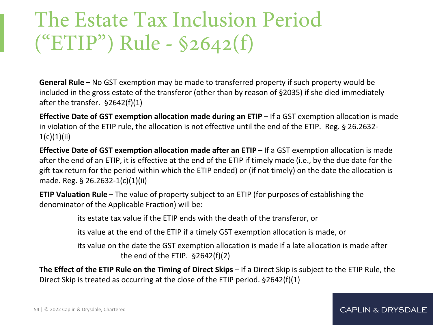### The Estate Tax Inclusion Period ("ETIP") Rule - §2642(f)

**General Rule** – No GST exemption may be made to transferred property if such property would be included in the gross estate of the transferor (other than by reason of §2035) if she died immediately after the transfer. §2642(f)(1)

**Effective Date of GST exemption allocation made during an ETIP** – If a GST exemption allocation is made in violation of the ETIP rule, the allocation is not effective until the end of the ETIP. Reg. § 26.2632-  $1(c)(1)(ii)$ 

**Effective Date of GST exemption allocation made after an ETIP** – If a GST exemption allocation is made after the end of an ETIP, it is effective at the end of the ETIP if timely made (i.e., by the due date for the gift tax return for the period within which the ETIP ended) or (if not timely) on the date the allocation is made. Reg. § 26.2632-1(c)(1)(ii)

**ETIP Valuation Rule** – The value of property subject to an ETIP (for purposes of establishing the denominator of the Applicable Fraction) will be:

its estate tax value if the ETIP ends with the death of the transferor, or

its value at the end of the ETIP if a timely GST exemption allocation is made, or

its value on the date the GST exemption allocation is made if a late allocation is made after the end of the ETIP. §2642(f)(2)

**The Effect of the ETIP Rule on the Timing of Direct Skips** – If a Direct Skip is subject to the ETIP Rule, the Direct Skip is treated as occurring at the close of the ETIP period. §2642(f)(1)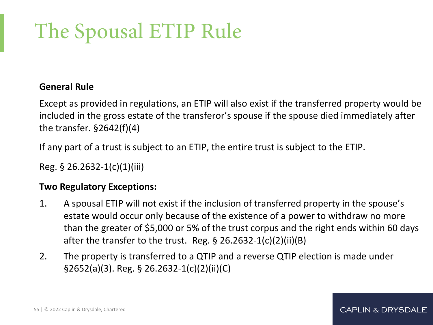# The Spousal ETIP Rule

#### **General Rule**

Except as provided in regulations, an ETIP will also exist if the transferred property would be included in the gross estate of the transferor's spouse if the spouse died immediately after the transfer. §2642(f)(4)

If any part of a trust is subject to an ETIP, the entire trust is subject to the ETIP.

Reg. § 26.2632-1(c)(1)(iii)

#### **Two Regulatory Exceptions:**

- 1. A spousal ETIP will not exist if the inclusion of transferred property in the spouse's estate would occur only because of the existence of a power to withdraw no more than the greater of \$5,000 or 5% of the trust corpus and the right ends within 60 days after the transfer to the trust. Reg.  $\S$  26.2632-1(c)(2)(ii)(B)
- 2. The property is transferred to a QTIP and a reverse QTIP election is made under §2652(a)(3). Reg. § 26.2632-1(c)(2)(ii)(C)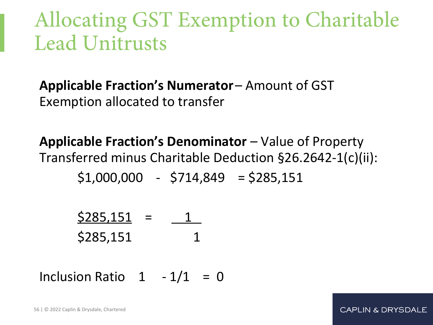### Allocating GST Exemption to Charitable Lead Unitrusts

**Applicable Fraction's Numerator** – Amount of GST Exemption allocated to transfer

**Applicable Fraction's Denominator** – Value of Property Transferred minus Charitable Deduction §26.2642-1(c)(ii):  $$1,000,000$  -  $$714,849$  =  $$285,151$ 

| \$285,151 |  |
|-----------|--|
| \$285,151 |  |

Inclusion Ratio  $1 - 1/1 = 0$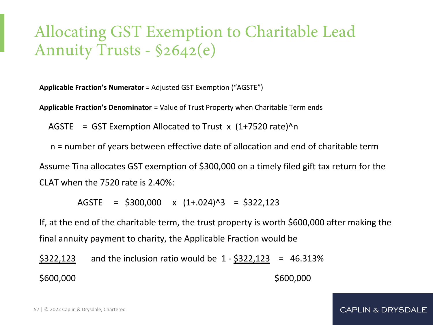### Allocating GST Exemption to Charitable Lead Annuity Trusts - §2642(e)

**Applicable Fraction's Numerator** = Adjusted GST Exemption ("AGSTE")

**Applicable Fraction's Denominator** = Value of Trust Property when Charitable Term ends

AGSTE =  $GST$  Exemption Allocated to Trust  $x$  (1+7520 rate) $\gamma$ n

 n = number of years between effective date of allocation and end of charitable term Assume Tina allocates GST exemption of \$300,000 on a timely filed gift tax return for the CLAT when the 7520 rate is 2.40%:

 $AGSTE = $300,000 \times (1+.024)^{3} = $322,123$ 

If, at the end of the charitable term, the trust property is worth \$600,000 after making the final annuity payment to charity, the Applicable Fraction would be

\$322,123 and the inclusion ratio would be 1 - \$322,123 = 46.313% \$600,000 \$600,000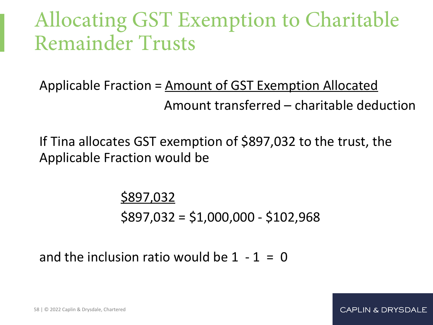### Allocating GST Exemption to Charitable Remainder Trusts

Applicable Fraction = Amount of GST Exemption Allocated Amount transferred – charitable deduction

If Tina allocates GST exemption of \$897,032 to the trust, the Applicable Fraction would be

> \$897,032 \$897,032 = \$1,000,000 - \$102,968

and the inclusion ratio would be  $1 - 1 = 0$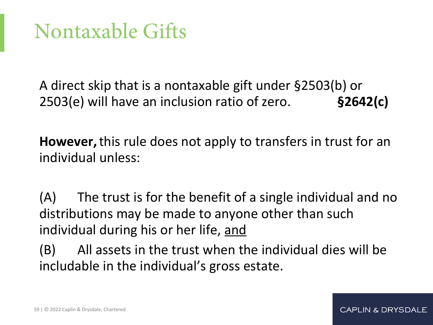### Nontaxable Gifts

A direct skip that is a nontaxable gift under §2503(b) or 2503(e) will have an inclusion ratio of zero. **§2642(c)** 

**However,** this rule does not apply to transfers in trust for an individual unless:

(A) The trust is for the benefit of a single individual and no distributions may be made to anyone other than such individual during his or her life, and

(B) All assets in the trust when the individual dies will be includable in the individual's gross estate.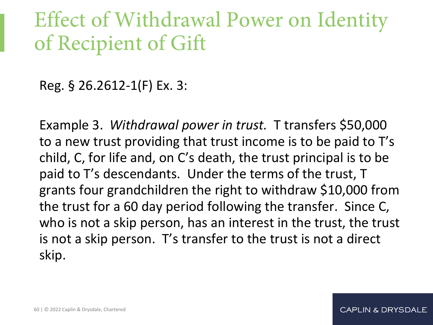### Effect of Withdrawal Power on Identity of Recipient of Gift

Reg. § 26.2612-1(F) Ex. 3:

Example 3. *Withdrawal power in trust.* T transfers \$50,000 to a new trust providing that trust income is to be paid to T's child, C, for life and, on C's death, the trust principal is to be paid to T's descendants. Under the terms of the trust, T grants four grandchildren the right to withdraw \$10,000 from the trust for a 60 day period following the transfer. Since C, who is not a skip person, has an interest in the trust, the trust is not a skip person. T's transfer to the trust is not a direct skip.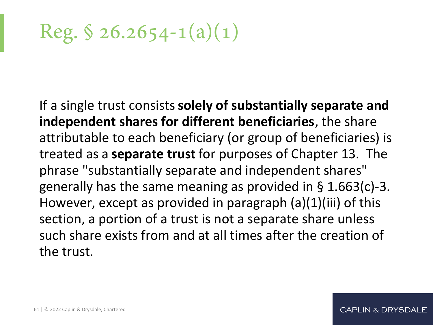Reg.  $\$ 26.2654 - 1(a)(1)$ 

If a single trust consists **solely of substantially separate and independent shares for different beneficiaries**, the share attributable to each beneficiary (or group of beneficiaries) is treated as a **separate trust** for purposes of Chapter 13. The phrase "substantially separate and independent shares" generally has the same meaning as provided in § 1.663(c)-3. However, except as provided in paragraph (a)(1)(iii) of this section, a portion of a trust is not a separate share unless such share exists from and at all times after the creation of the trust.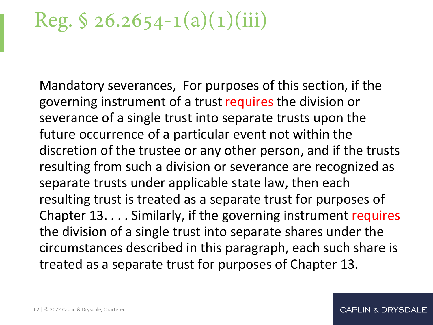## Reg.  $\$ 26.2654 - 1(a)(1)(iii)$

Mandatory severances, For purposes of this section, if the governing instrument of a trust requires the division or severance of a single trust into separate trusts upon the future occurrence of a particular event not within the discretion of the trustee or any other person, and if the trusts resulting from such a division or severance are recognized as separate trusts under applicable state law, then each resulting trust is treated as a separate trust for purposes of Chapter 13. . . . Similarly, if the governing instrument requires the division of a single trust into separate shares under the circumstances described in this paragraph, each such share is treated as a separate trust for purposes of Chapter 13.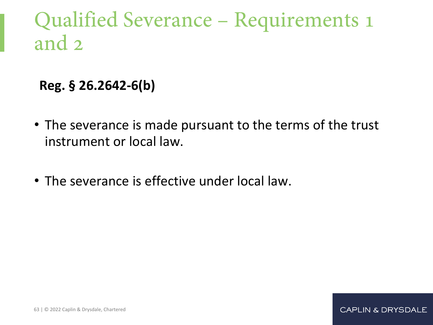### Qualified Severance – Requirements 1 and 2

**Reg. § 26.2642-6(b)**

- The severance is made pursuant to the terms of the trust instrument or local law.
- The severance is effective under local law.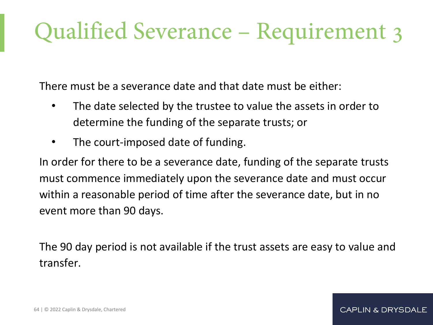# Qualified Severance – Requirement 3

There must be a severance date and that date must be either:

- The date selected by the trustee to value the assets in order to determine the funding of the separate trusts; or
- The court-imposed date of funding.

In order for there to be a severance date, funding of the separate trusts must commence immediately upon the severance date and must occur within a reasonable period of time after the severance date, but in no event more than 90 days.

The 90 day period is not available if the trust assets are easy to value and transfer.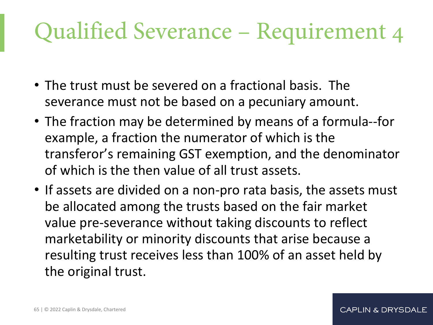# Qualified Severance – Requirement 4

- The trust must be severed on a fractional basis. The severance must not be based on a pecuniary amount.
- The fraction may be determined by means of a formula--for example, a fraction the numerator of which is the transferor's remaining GST exemption, and the denominator of which is the then value of all trust assets.
- If assets are divided on a non-pro rata basis, the assets must be allocated among the trusts based on the fair market value pre-severance without taking discounts to reflect marketability or minority discounts that arise because a resulting trust receives less than 100% of an asset held by the original trust.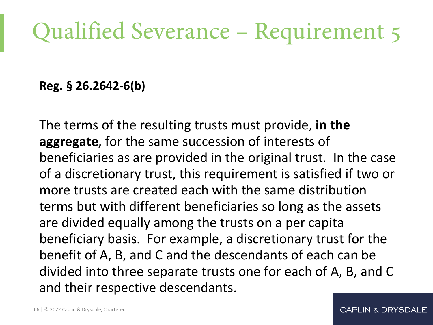# Qualified Severance – Requirement 5

**Reg. § 26.2642-6(b)**

The terms of the resulting trusts must provide, **in the aggregate**, for the same succession of interests of beneficiaries as are provided in the original trust. In the case of a discretionary trust, this requirement is satisfied if two or more trusts are created each with the same distribution terms but with different beneficiaries so long as the assets are divided equally among the trusts on a per capita beneficiary basis. For example, a discretionary trust for the benefit of A, B, and C and the descendants of each can be divided into three separate trusts one for each of A, B, and C and their respective descendants.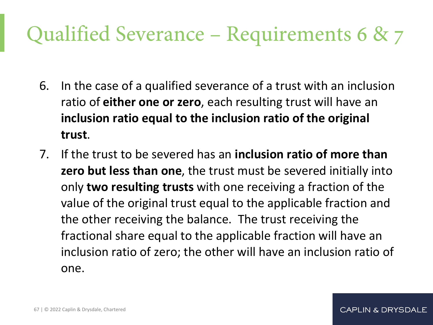## Qualified Severance – Requirements 6 & 7

- 6. In the case of a qualified severance of a trust with an inclusion ratio of **either one or zero**, each resulting trust will have an **inclusion ratio equal to the inclusion ratio of the original trust**.
- 7. If the trust to be severed has an **inclusion ratio of more than zero but less than one**, the trust must be severed initially into only **two resulting trusts** with one receiving a fraction of the value of the original trust equal to the applicable fraction and the other receiving the balance. The trust receiving the fractional share equal to the applicable fraction will have an inclusion ratio of zero; the other will have an inclusion ratio of one.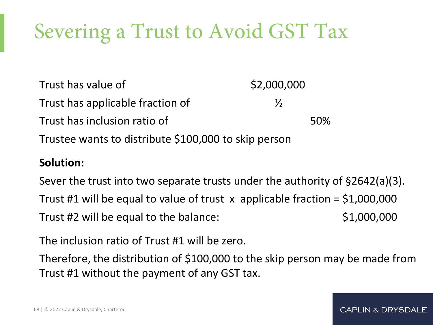# Severing a Trust to Avoid GST Tax

Trust has value of  $$2,000,000$ Trust has applicable fraction of  $\mathcal{V}_2$ Trust has inclusion ratio of **Example 2018** 50% Trustee wants to distribute \$100,000 to skip person

#### **Solution:**

Sever the trust into two separate trusts under the authority of §2642(a)(3). Trust #1 will be equal to value of trust  $\bar{x}$  applicable fraction = \$1,000,000 Trust  $#2$  will be equal to the balance:  $$1,000,000$ 

The inclusion ratio of Trust #1 will be zero.

Therefore, the distribution of \$100,000 to the skip person may be made from Trust #1 without the payment of any GST tax.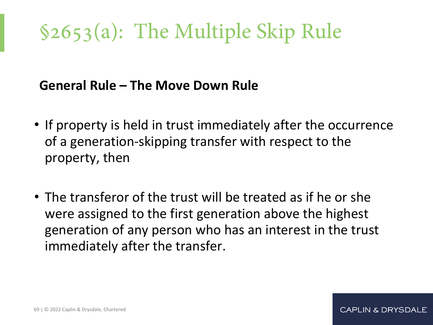# §2653(a): The Multiple Skip Rule

### **General Rule – The Move Down Rule**

- If property is held in trust immediately after the occurrence of a generation-skipping transfer with respect to the property, then
- The transferor of the trust will be treated as if he or she were assigned to the first generation above the highest generation of any person who has an interest in the trust immediately after the transfer.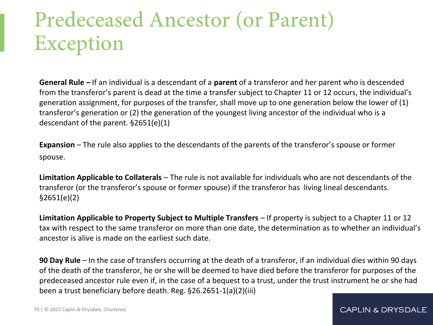# Predeceased Ancestor (or Parent) Exception

**General Rule –** If an individual is a descendant of a **parent** of a transferor and her parent who is descended from the transferor's parent is dead at the time a transfer subject to Chapter 11 or 12 occurs, the individual's generation assignment, for purposes of the transfer, shall move up to one generation below the lower of (1) transferor's generation or (2) the generation of the youngest living ancestor of the individual who is a descendant of the parent. §2651(e)(1)

**Expansion** – The rule also applies to the descendants of the parents of the transferor's spouse or former spouse.

**Limitation Applicable to Collaterals** – The rule is not available for individuals who are not descendants of the transferor (or the transferor's spouse or former spouse) if the transferor has living lineal descendants. §2651(e)(2)

**Limitation Applicable to Property Subject to Multiple Transfers** – If property is subject to a Chapter 11 or 12 tax with respect to the same transferor on more than one date, the determination as to whether an individual's ancestor is alive is made on the earliest such date.

**90 Day Rule** – In the case of transfers occurring at the death of a transferor, if an individual dies within 90 days of the death of the transferor, he or she will be deemed to have died before the transferor for purposes of the predeceased ancestor rule even if, in the case of a bequest to a trust, under the trust instrument he or she had been a trust beneficiary before death. Reg. §26.2651-1(a)(2)(iii)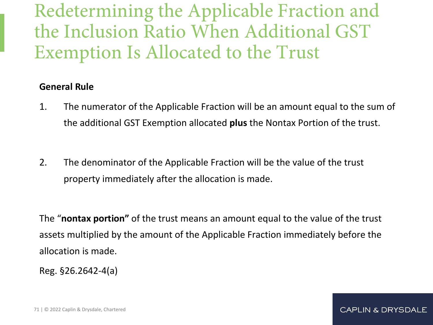Redetermining the Applicable Fraction and the Inclusion Ratio When Additional GST Exemption Is Allocated to the Trust

#### **General Rule**

- 1. The numerator of the Applicable Fraction will be an amount equal to the sum of the additional GST Exemption allocated **plus** the Nontax Portion of the trust.
- 2. The denominator of the Applicable Fraction will be the value of the trust property immediately after the allocation is made.

The "**nontax portion"** of the trust means an amount equal to the value of the trust assets multiplied by the amount of the Applicable Fraction immediately before the allocation is made.

Reg. §26.2642-4(a)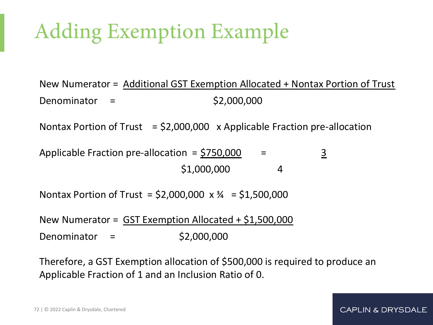# Adding Exemption Example

New Numerator = Additional GST Exemption Allocated + Nontax Portion of Trust  $Denominator =$  \$2,000,000

Nontax Portion of Trust  $=$  \$2,000,000  $\times$  Applicable Fraction pre-allocation

Applicable Fraction pre-allocation =  $$750,000$  =  $$3$  $$1,000,000$  4

Nontax Portion of Trust =  $$2,000,000 \times 4 = $1,500,000$ 

New Numerator = GST Exemption Allocated + \$1,500,000 Denominator = \$2,000,000

Therefore, a GST Exemption allocation of \$500,000 is required to produce an Applicable Fraction of 1 and an Inclusion Ratio of 0.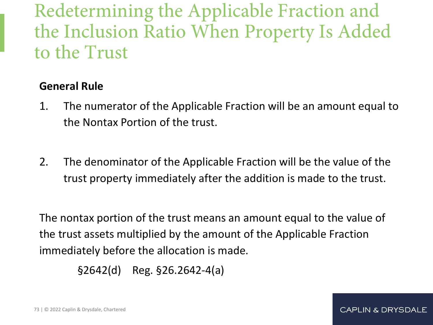Redetermining the Applicable Fraction and the Inclusion Ratio When Property Is Added to the Trust

### **General Rule**

- 1. The numerator of the Applicable Fraction will be an amount equal to the Nontax Portion of the trust.
- 2. The denominator of the Applicable Fraction will be the value of the trust property immediately after the addition is made to the trust.

The nontax portion of the trust means an amount equal to the value of the trust assets multiplied by the amount of the Applicable Fraction immediately before the allocation is made.

 $\S 2642$ (d) Reg.  $\S 26.2642 - 4(a)$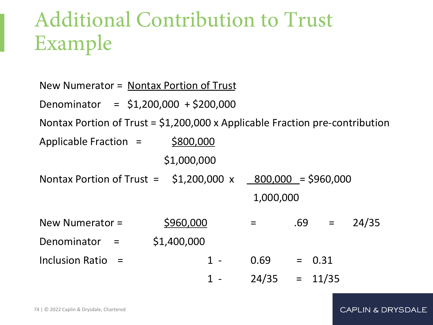## Additional Contribution to Trust Example

| New Numerator = Nontax Portion of Trust                                       |       |                 |     |          |       |
|-------------------------------------------------------------------------------|-------|-----------------|-----|----------|-------|
| Denominator = $$1,200,000 + $200,000$                                         |       |                 |     |          |       |
| Nontax Portion of Trust = $$1,200,000$ x Applicable Fraction pre-contribution |       |                 |     |          |       |
| \$800,000<br>Applicable Fraction $=$                                          |       |                 |     |          |       |
| \$1,000,000                                                                   |       |                 |     |          |       |
| Nontax Portion of Trust = $\frac{1}{2}$ , 200,000 x 800,000 = \$960,000       |       |                 |     |          |       |
|                                                                               |       | 1,000,000       |     |          |       |
| \$960,000<br>New Numerator $=$                                                |       | $=$             | .69 | $=$      | 24/35 |
| \$1,400,000<br>Denominator<br>$\mathbf{r} = \mathbf{r}$                       |       |                 |     |          |       |
| Inclusion Ratio $=$                                                           | $1 -$ | 0.69            |     | $= 0.31$ |       |
|                                                                               | 1     | $24/35 = 11/35$ |     |          |       |
|                                                                               |       |                 |     |          |       |

#### CAPLIN & DRYSDALE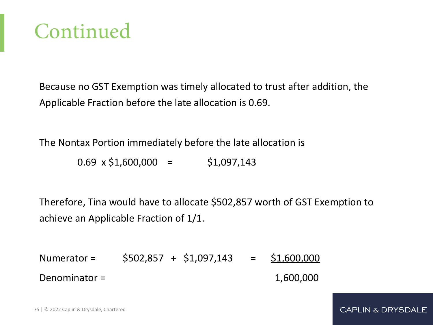

Because no GST Exemption was timely allocated to trust after addition, the Applicable Fraction before the late allocation is 0.69.

The Nontax Portion immediately before the late allocation is

 $0.69 \times $1,600,000 = $1,097,143$ 

Therefore, Tina would have to allocate \$502,857 worth of GST Exemption to achieve an Applicable Fraction of 1/1.

Numerator = \$502,857 + \$1,097,143 = \$1,600,000 Denominator =  $1,600,000$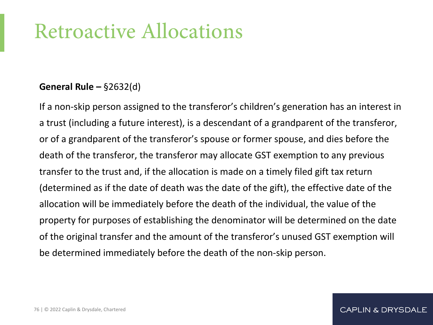### Retroactive Allocations

#### **General Rule –** §2632(d)

If a non-skip person assigned to the transferor's children's generation has an interest in a trust (including a future interest), is a descendant of a grandparent of the transferor, or of a grandparent of the transferor's spouse or former spouse, and dies before the death of the transferor, the transferor may allocate GST exemption to any previous transfer to the trust and, if the allocation is made on a timely filed gift tax return (determined as if the date of death was the date of the gift), the effective date of the allocation will be immediately before the death of the individual, the value of the property for purposes of establishing the denominator will be determined on the date of the original transfer and the amount of the transferor's unused GST exemption will be determined immediately before the death of the non-skip person.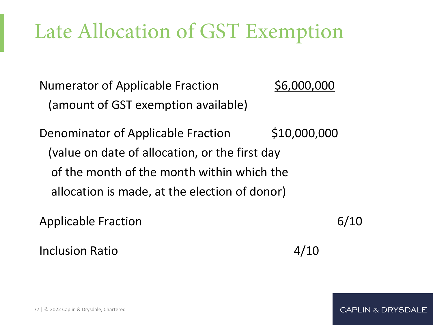# Late Allocation of GST Exemption

Numerator of Applicable Fraction 56,000,000 (amount of GST exemption available)

Denominator of Applicable Fraction \$10,000,000 (value on date of allocation, or the first day of the month of the month within which the allocation is made, at the election of donor)

Applicable Fraction 6/10 Inclusion Ratio 4/10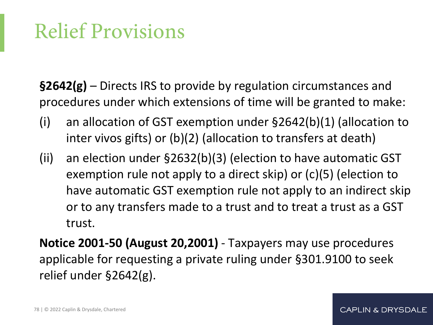## Relief Provisions

**§2642(g)** – Directs IRS to provide by regulation circumstances and procedures under which extensions of time will be granted to make:

- (i) an allocation of GST exemption under §2642(b)(1) (allocation to inter vivos gifts) or (b)(2) (allocation to transfers at death)
- (ii) an election under §2632(b)(3) (election to have automatic GST exemption rule not apply to a direct skip) or (c)(5) (election to have automatic GST exemption rule not apply to an indirect skip or to any transfers made to a trust and to treat a trust as a GST trust.

**Notice 2001-50 (August 20,2001)** - Taxpayers may use procedures applicable for requesting a private ruling under §301.9100 to seek relief under §2642(g).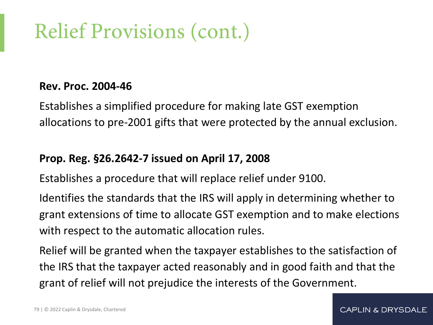# Relief Provisions (cont.)

#### **Rev. Proc. 2004-46**

Establishes a simplified procedure for making late GST exemption allocations to pre-2001 gifts that were protected by the annual exclusion.

#### **Prop. Reg. §26.2642-7 issued on April 17, 2008**

Establishes a procedure that will replace relief under 9100.

Identifies the standards that the IRS will apply in determining whether to grant extensions of time to allocate GST exemption and to make elections with respect to the automatic allocation rules.

Relief will be granted when the taxpayer establishes to the satisfaction of the IRS that the taxpayer acted reasonably and in good faith and that the grant of relief will not prejudice the interests of the Government.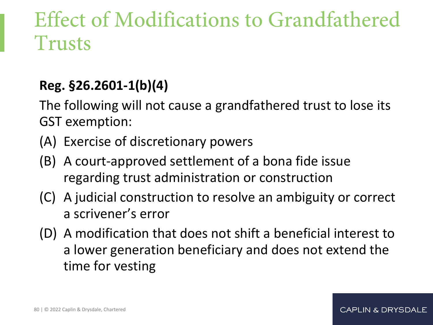### Effect of Modifications to Grandfathered Trusts

### **Reg. §26.2601-1(b)(4)**

The following will not cause a grandfathered trust to lose its GST exemption:

- (A) Exercise of discretionary powers
- (B) A court-approved settlement of a bona fide issue regarding trust administration or construction
- (C) A judicial construction to resolve an ambiguity or correct a scrivener's error
- (D) A modification that does not shift a beneficial interest to a lower generation beneficiary and does not extend the time for vesting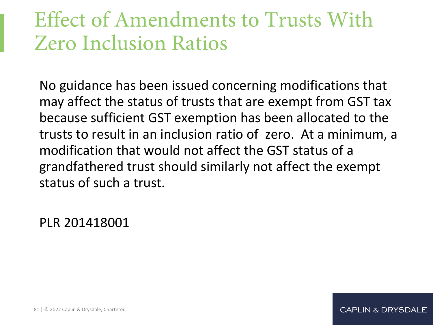### Effect of Amendments to Trusts With Zero Inclusion Ratios

No guidance has been issued concerning modifications that may affect the status of trusts that are exempt from GST tax because sufficient GST exemption has been allocated to the trusts to result in an inclusion ratio of zero. At a minimum, a modification that would not affect the GST status of a grandfathered trust should similarly not affect the exempt status of such a trust.

PLR 201418001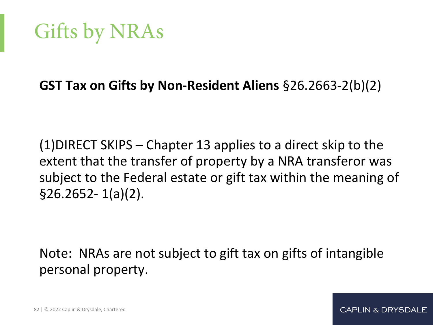## Gifts by NRAs

### **GST Tax on Gifts by Non-Resident Aliens** §26.2663-2(b)(2)

(1)DIRECT SKIPS – Chapter 13 applies to a direct skip to the extent that the transfer of property by a NRA transferor was subject to the Federal estate or gift tax within the meaning of §26.2652- 1(a)(2).

Note: NRAs are not subject to gift tax on gifts of intangible personal property.